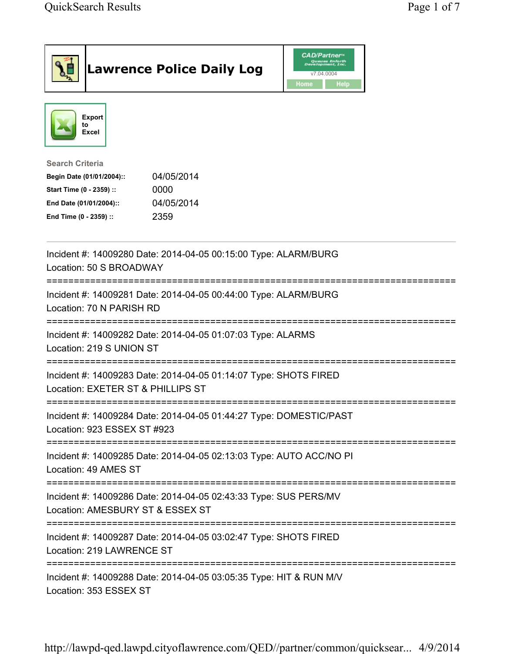| <b>Lawrence Police Daily Log</b>                                                                                                                                                 | <b>CAD/Partner</b> ®<br>Queues Enforth<br>Development, Inc.<br>v7.04.0004<br>Home<br><b>Help</b> |
|----------------------------------------------------------------------------------------------------------------------------------------------------------------------------------|--------------------------------------------------------------------------------------------------|
| <b>Export</b><br>to<br>Excel                                                                                                                                                     |                                                                                                  |
| <b>Search Criteria</b><br>04/05/2014<br>Begin Date (01/01/2004)::<br>Start Time (0 - 2359) ::<br>0000<br>04/05/2014<br>End Date (01/01/2004)::<br>2359<br>End Time (0 - 2359) :: |                                                                                                  |
| Incident #: 14009280 Date: 2014-04-05 00:15:00 Type: ALARM/BURG<br>Location: 50 S BROADWAY                                                                                       |                                                                                                  |
| Incident #: 14009281 Date: 2014-04-05 00:44:00 Type: ALARM/BURG<br>Location: 70 N PARISH RD                                                                                      |                                                                                                  |
| Incident #: 14009282 Date: 2014-04-05 01:07:03 Type: ALARMS<br>Location: 219 S UNION ST                                                                                          |                                                                                                  |
| Incident #: 14009283 Date: 2014-04-05 01:14:07 Type: SHOTS FIRED<br>Location: EXETER ST & PHILLIPS ST                                                                            |                                                                                                  |
| Incident #: 14009284 Date: 2014-04-05 01:44:27 Type: DOMESTIC/PAST<br>Location: 923 ESSEX ST #923                                                                                |                                                                                                  |
| Incident #: 14009285 Date: 2014-04-05 02:13:03 Type: AUTO ACC/NO PI<br>Location: 49 AMES ST                                                                                      |                                                                                                  |
| Incident #: 14009286 Date: 2014-04-05 02:43:33 Type: SUS PERS/MV<br>Location: AMESBURY ST & ESSEX ST                                                                             |                                                                                                  |
| Incident #: 14009287 Date: 2014-04-05 03:02:47 Type: SHOTS FIRED<br>Location: 219 LAWRENCE ST                                                                                    |                                                                                                  |
| Incident #: 14009288 Date: 2014-04-05 03:05:35 Type: HIT & RUN M/V<br>Location: 353 ESSEX ST                                                                                     |                                                                                                  |

http://lawpd-qed.lawpd.cityoflawrence.com/QED//partner/common/quicksear... 4/9/2014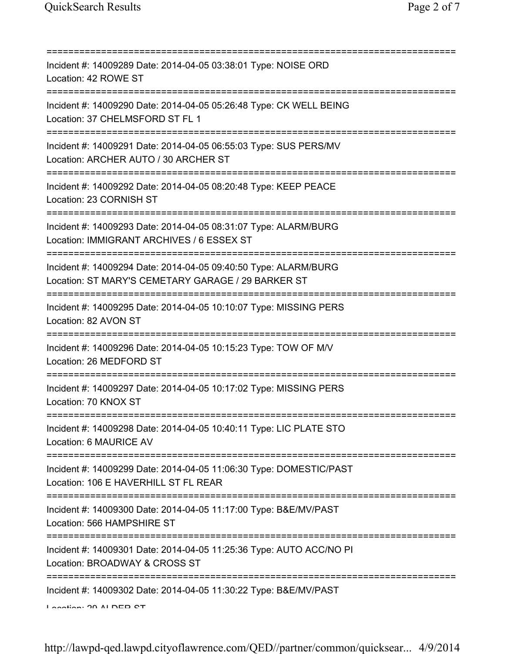| Incident #: 14009289 Date: 2014-04-05 03:38:01 Type: NOISE ORD<br>Location: 42 ROWE ST                                                           |
|--------------------------------------------------------------------------------------------------------------------------------------------------|
| Incident #: 14009290 Date: 2014-04-05 05:26:48 Type: CK WELL BEING<br>Location: 37 CHELMSFORD ST FL 1                                            |
| Incident #: 14009291 Date: 2014-04-05 06:55:03 Type: SUS PERS/MV<br>Location: ARCHER AUTO / 30 ARCHER ST                                         |
| Incident #: 14009292 Date: 2014-04-05 08:20:48 Type: KEEP PEACE<br>Location: 23 CORNISH ST                                                       |
| Incident #: 14009293 Date: 2014-04-05 08:31:07 Type: ALARM/BURG<br>Location: IMMIGRANT ARCHIVES / 6 ESSEX ST                                     |
| =======================<br>Incident #: 14009294 Date: 2014-04-05 09:40:50 Type: ALARM/BURG<br>Location: ST MARY'S CEMETARY GARAGE / 29 BARKER ST |
| Incident #: 14009295 Date: 2014-04-05 10:10:07 Type: MISSING PERS<br>Location: 82 AVON ST<br>=====================================               |
| Incident #: 14009296 Date: 2014-04-05 10:15:23 Type: TOW OF M/V<br>Location: 26 MEDFORD ST                                                       |
| Incident #: 14009297 Date: 2014-04-05 10:17:02 Type: MISSING PERS<br>Location: 70 KNOX ST<br>=======================                             |
| Incident #: 14009298 Date: 2014-04-05 10:40:11 Type: LIC PLATE STO<br>Location: 6 MAURICE AV                                                     |
| Incident #: 14009299 Date: 2014-04-05 11:06:30 Type: DOMESTIC/PAST<br>Location: 106 E HAVERHILL ST FL REAR                                       |
| Incident #: 14009300 Date: 2014-04-05 11:17:00 Type: B&E/MV/PAST<br>Location: 566 HAMPSHIRE ST                                                   |
| Incident #: 14009301 Date: 2014-04-05 11:25:36 Type: AUTO ACC/NO PI<br>Location: BROADWAY & CROSS ST                                             |
| Incident #: 14009302 Date: 2014-04-05 11:30:22 Type: B&E/MV/PAST<br>Lootion: 20 ALDED CT                                                         |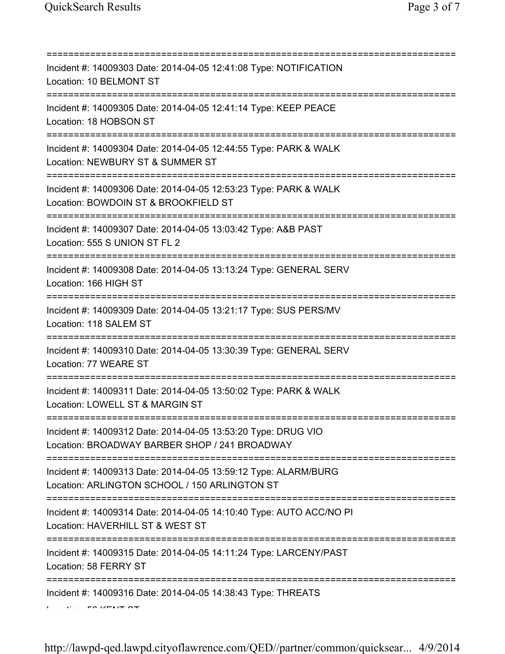| Incident #: 14009303 Date: 2014-04-05 12:41:08 Type: NOTIFICATION<br>Location: 10 BELMONT ST                                                  |
|-----------------------------------------------------------------------------------------------------------------------------------------------|
| Incident #: 14009305 Date: 2014-04-05 12:41:14 Type: KEEP PEACE<br>Location: 18 HOBSON ST                                                     |
| Incident #: 14009304 Date: 2014-04-05 12:44:55 Type: PARK & WALK<br>Location: NEWBURY ST & SUMMER ST<br>===================================== |
| Incident #: 14009306 Date: 2014-04-05 12:53:23 Type: PARK & WALK<br>Location: BOWDOIN ST & BROOKFIELD ST                                      |
| Incident #: 14009307 Date: 2014-04-05 13:03:42 Type: A&B PAST<br>Location: 555 S UNION ST FL 2                                                |
| ====================<br>Incident #: 14009308 Date: 2014-04-05 13:13:24 Type: GENERAL SERV<br>Location: 166 HIGH ST                            |
| Incident #: 14009309 Date: 2014-04-05 13:21:17 Type: SUS PERS/MV<br>Location: 118 SALEM ST                                                    |
| Incident #: 14009310 Date: 2014-04-05 13:30:39 Type: GENERAL SERV<br>Location: 77 WEARE ST                                                    |
| Incident #: 14009311 Date: 2014-04-05 13:50:02 Type: PARK & WALK<br>Location: LOWELL ST & MARGIN ST                                           |
| Incident #: 14009312 Date: 2014-04-05 13:53:20 Type: DRUG VIO<br>Location: BROADWAY BARBER SHOP / 241 BROADWAY                                |
| Incident #: 14009313 Date: 2014-04-05 13:59:12 Type: ALARM/BURG<br>Location: ARLINGTON SCHOOL / 150 ARLINGTON ST                              |
| Incident #: 14009314 Date: 2014-04-05 14:10:40 Type: AUTO ACC/NO PI<br>Location: HAVERHILL ST & WEST ST                                       |
| Incident #: 14009315 Date: 2014-04-05 14:11:24 Type: LARCENY/PAST<br>Location: 58 FERRY ST                                                    |
| Incident #: 14009316 Date: 2014-04-05 14:38:43 Type: THREATS                                                                                  |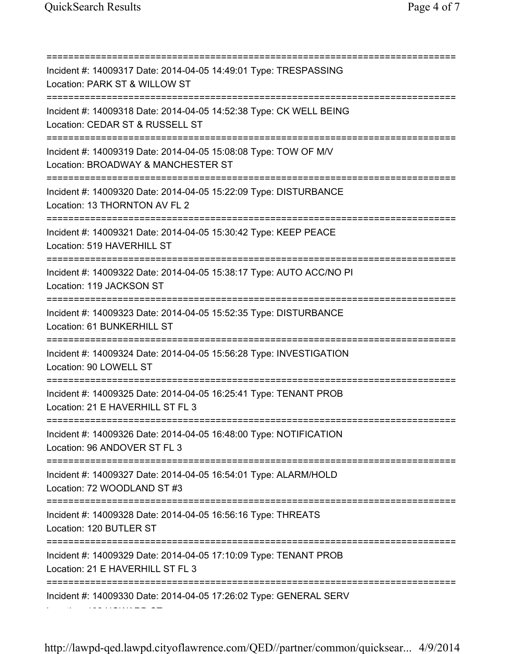Location: 192 HOWARD ST

=========================================================================== Incident #: 14009317 Date: 2014-04-05 14:49:01 Type: TRESPASSING Location: PARK ST & WILLOW ST =========================================================================== Incident #: 14009318 Date: 2014-04-05 14:52:38 Type: CK WELL BEING Location: CEDAR ST & RUSSELL ST =========================================================================== Incident #: 14009319 Date: 2014-04-05 15:08:08 Type: TOW OF M/V Location: BROADWAY & MANCHESTER ST =========================================================================== Incident #: 14009320 Date: 2014-04-05 15:22:09 Type: DISTURBANCE Location: 13 THORNTON AV FL 2 =========================================================================== Incident #: 14009321 Date: 2014-04-05 15:30:42 Type: KEEP PEACE Location: 519 HAVERHILL ST =========================================================================== Incident #: 14009322 Date: 2014-04-05 15:38:17 Type: AUTO ACC/NO PI Location: 119 JACKSON ST =========================================================================== Incident #: 14009323 Date: 2014-04-05 15:52:35 Type: DISTURBANCE Location: 61 BUNKERHILL ST =========================================================================== Incident #: 14009324 Date: 2014-04-05 15:56:28 Type: INVESTIGATION Location: 90 LOWELL ST =========================================================================== Incident #: 14009325 Date: 2014-04-05 16:25:41 Type: TENANT PROB Location: 21 E HAVERHILL ST FL 3 =========================================================================== Incident #: 14009326 Date: 2014-04-05 16:48:00 Type: NOTIFICATION Location: 96 ANDOVER ST FL 3 =========================================================================== Incident #: 14009327 Date: 2014-04-05 16:54:01 Type: ALARM/HOLD Location: 72 WOODLAND ST #3 =========================================================================== Incident #: 14009328 Date: 2014-04-05 16:56:16 Type: THREATS Location: 120 BUTLER ST =========================================================================== Incident #: 14009329 Date: 2014-04-05 17:10:09 Type: TENANT PROB Location: 21 E HAVERHILL ST FL 3 =========================================================================== Incident #: 14009330 Date: 2014-04-05 17:26:02 Type: GENERAL SERV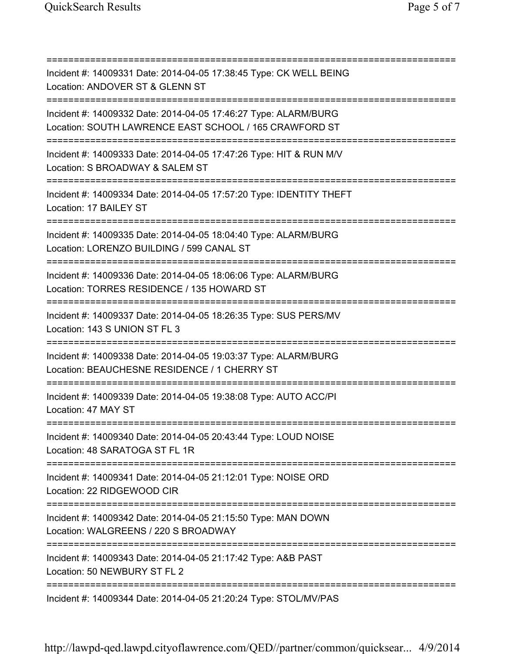| Incident #: 14009331 Date: 2014-04-05 17:38:45 Type: CK WELL BEING<br>Location: ANDOVER ST & GLENN ST                                               |
|-----------------------------------------------------------------------------------------------------------------------------------------------------|
| Incident #: 14009332 Date: 2014-04-05 17:46:27 Type: ALARM/BURG<br>Location: SOUTH LAWRENCE EAST SCHOOL / 165 CRAWFORD ST<br>:===================== |
| Incident #: 14009333 Date: 2014-04-05 17:47:26 Type: HIT & RUN M/V<br>Location: S BROADWAY & SALEM ST<br>=======================                    |
| Incident #: 14009334 Date: 2014-04-05 17:57:20 Type: IDENTITY THEFT<br>Location: 17 BAILEY ST                                                       |
| Incident #: 14009335 Date: 2014-04-05 18:04:40 Type: ALARM/BURG<br>Location: LORENZO BUILDING / 599 CANAL ST                                        |
| Incident #: 14009336 Date: 2014-04-05 18:06:06 Type: ALARM/BURG<br>Location: TORRES RESIDENCE / 135 HOWARD ST                                       |
| Incident #: 14009337 Date: 2014-04-05 18:26:35 Type: SUS PERS/MV<br>Location: 143 S UNION ST FL 3                                                   |
| Incident #: 14009338 Date: 2014-04-05 19:03:37 Type: ALARM/BURG<br>Location: BEAUCHESNE RESIDENCE / 1 CHERRY ST                                     |
| Incident #: 14009339 Date: 2014-04-05 19:38:08 Type: AUTO ACC/PI<br>Location: 47 MAY ST                                                             |
| Incident #: 14009340 Date: 2014-04-05 20:43:44 Type: LOUD NOISE<br>Location: 48 SARATOGA ST FL 1R                                                   |
| =========================<br>Incident #: 14009341 Date: 2014-04-05 21:12:01 Type: NOISE ORD<br>Location: 22 RIDGEWOOD CIR                           |
| Incident #: 14009342 Date: 2014-04-05 21:15:50 Type: MAN DOWN<br>Location: WALGREENS / 220 S BROADWAY                                               |
| =====================================<br>Incident #: 14009343 Date: 2014-04-05 21:17:42 Type: A&B PAST<br>Location: 50 NEWBURY ST FL 2              |
| Incident #: 14009344 Date: 2014-04-05 21:20:24 Type: STOL/MV/PAS                                                                                    |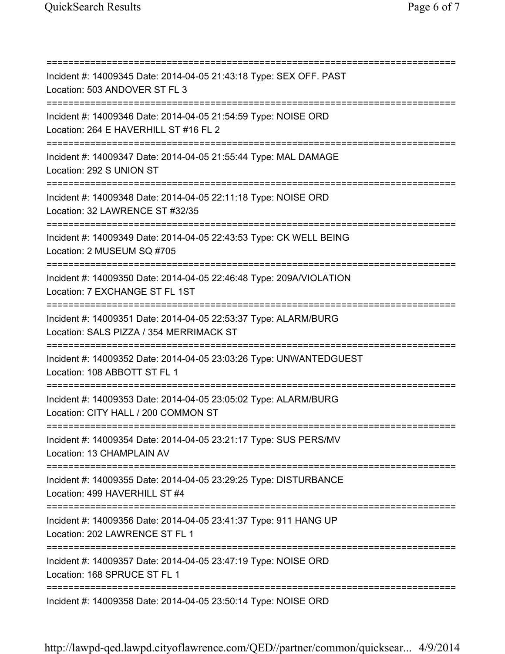=========================================================================== Incident #: 14009345 Date: 2014-04-05 21:43:18 Type: SEX OFF. PAST Location: 503 ANDOVER ST FL 3 =========================================================================== Incident #: 14009346 Date: 2014-04-05 21:54:59 Type: NOISE ORD Location: 264 E HAVERHILL ST #16 FL 2 =========================================================================== Incident #: 14009347 Date: 2014-04-05 21:55:44 Type: MAL DAMAGE Location: 292 S UNION ST =========================================================================== Incident #: 14009348 Date: 2014-04-05 22:11:18 Type: NOISE ORD Location: 32 LAWRENCE ST #32/35 =========================================================================== Incident #: 14009349 Date: 2014-04-05 22:43:53 Type: CK WELL BEING Location: 2 MUSEUM SQ #705 =========================================================================== Incident #: 14009350 Date: 2014-04-05 22:46:48 Type: 209A/VIOLATION Location: 7 EXCHANGE ST FL 1ST =========================================================================== Incident #: 14009351 Date: 2014-04-05 22:53:37 Type: ALARM/BURG Location: SALS PIZZA / 354 MERRIMACK ST =========================================================================== Incident #: 14009352 Date: 2014-04-05 23:03:26 Type: UNWANTEDGUEST Location: 108 ABBOTT ST FL 1 =========================================================================== Incident #: 14009353 Date: 2014-04-05 23:05:02 Type: ALARM/BURG Location: CITY HALL / 200 COMMON ST =========================================================================== Incident #: 14009354 Date: 2014-04-05 23:21:17 Type: SUS PERS/MV Location: 13 CHAMPLAIN AV =========================================================================== Incident #: 14009355 Date: 2014-04-05 23:29:25 Type: DISTURBANCE Location: 499 HAVERHILL ST #4 =========================================================================== Incident #: 14009356 Date: 2014-04-05 23:41:37 Type: 911 HANG UP Location: 202 LAWRENCE ST FL 1 =========================================================================== Incident #: 14009357 Date: 2014-04-05 23:47:19 Type: NOISE ORD Location: 168 SPRUCE ST FL 1 =========================================================================== Incident #: 14009358 Date: 2014-04-05 23:50:14 Type: NOISE ORD